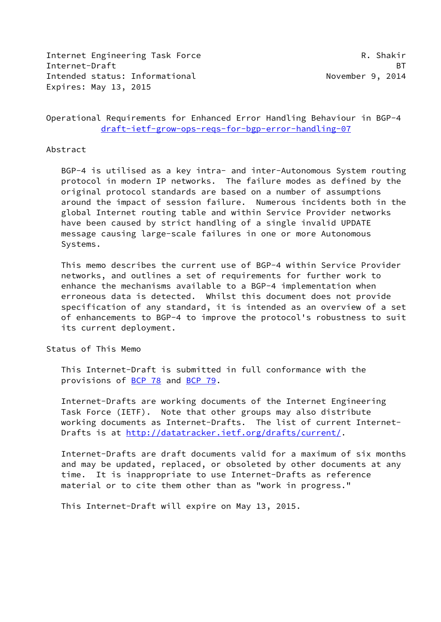Internet Engineering Task Force R. Shakir Internet-Draft BT Intended status: Informational November 9, 2014 Expires: May 13, 2015

Operational Requirements for Enhanced Error Handling Behaviour in BGP-4 [draft-ietf-grow-ops-reqs-for-bgp-error-handling-07](https://datatracker.ietf.org/doc/pdf/draft-ietf-grow-ops-reqs-for-bgp-error-handling-07)

#### Abstract

 BGP-4 is utilised as a key intra- and inter-Autonomous System routing protocol in modern IP networks. The failure modes as defined by the original protocol standards are based on a number of assumptions around the impact of session failure. Numerous incidents both in the global Internet routing table and within Service Provider networks have been caused by strict handling of a single invalid UPDATE message causing large-scale failures in one or more Autonomous Systems.

 This memo describes the current use of BGP-4 within Service Provider networks, and outlines a set of requirements for further work to enhance the mechanisms available to a BGP-4 implementation when erroneous data is detected. Whilst this document does not provide specification of any standard, it is intended as an overview of a set of enhancements to BGP-4 to improve the protocol's robustness to suit its current deployment.

Status of This Memo

 This Internet-Draft is submitted in full conformance with the provisions of [BCP 78](https://datatracker.ietf.org/doc/pdf/bcp78) and [BCP 79](https://datatracker.ietf.org/doc/pdf/bcp79).

 Internet-Drafts are working documents of the Internet Engineering Task Force (IETF). Note that other groups may also distribute working documents as Internet-Drafts. The list of current Internet Drafts is at<http://datatracker.ietf.org/drafts/current/>.

 Internet-Drafts are draft documents valid for a maximum of six months and may be updated, replaced, or obsoleted by other documents at any time. It is inappropriate to use Internet-Drafts as reference material or to cite them other than as "work in progress."

This Internet-Draft will expire on May 13, 2015.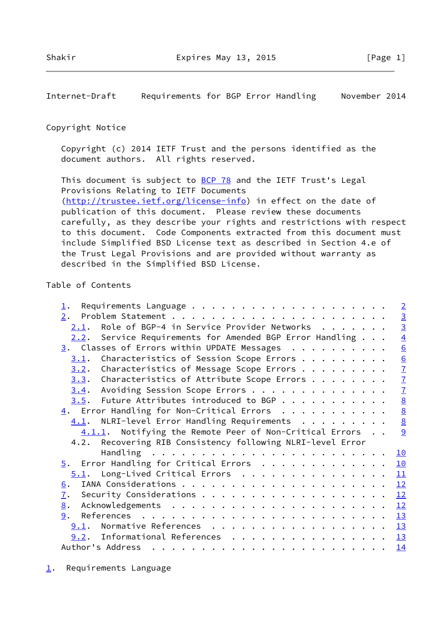<span id="page-1-1"></span>Internet-Draft Requirements for BGP Error Handling November 2014

### Copyright Notice

 Copyright (c) 2014 IETF Trust and the persons identified as the document authors. All rights reserved.

This document is subject to **[BCP 78](https://datatracker.ietf.org/doc/pdf/bcp78)** and the IETF Trust's Legal Provisions Relating to IETF Documents [\(http://trustee.ietf.org/license-info](http://trustee.ietf.org/license-info)) in effect on the date of publication of this document. Please review these documents

 carefully, as they describe your rights and restrictions with respect to this document. Code Components extracted from this document must include Simplified BSD License text as described in Section 4.e of the Trust Legal Provisions and are provided without warranty as described in the Simplified BSD License.

# Table of Contents

<span id="page-1-0"></span>

| $\perp$ .                                                   | $\overline{2}$  |
|-------------------------------------------------------------|-----------------|
| 2.                                                          |                 |
| Role of BGP-4 in Service Provider Networks<br>2.1.          | $\frac{3}{3}$   |
| Service Requirements for Amended BGP Error Handling<br>2.2. | $\overline{4}$  |
| $\frac{3}{2}$ . Classes of Errors within UPDATE Messages    | 6               |
| Characteristics of Session Scope Errors<br>3.1.             |                 |
| Characteristics of Message Scope Errors<br>3.2.             | $\frac{6}{7}$   |
| Characteristics of Attribute Scope Errors<br>3.3.           | $\overline{1}$  |
| Avoiding Session Scope Errors<br>3.4.                       | $\overline{1}$  |
| $3.5$ . Future Attributes introduced to BGP                 | $\underline{8}$ |
| $\underline{4}$ . Error Handling for Non-Critical Errors    | $\underline{8}$ |
| $4.1$ . NLRI-level Error Handling Requirements              | $\overline{8}$  |
| 4.1.1. Notifying the Remote Peer of Non-Critical Errors     | 9               |
| 4.2. Recovering RIB Consistency following NLRI-level Error  |                 |
|                                                             | 10              |
| $\overline{5}$ . Error Handling for Critical Errors         | 10              |
| $5.1$ . Long-Lived Critical Errors                          | 11              |
| 6.                                                          | 12              |
| $\mathbf{I}$ .                                              | 12              |
| 8.                                                          | 12              |
| 9.                                                          | 13              |
| 9.1. Normative References                                   | 13              |
| 9.2. Informational References                               | 13              |
| Author's Address                                            | 14              |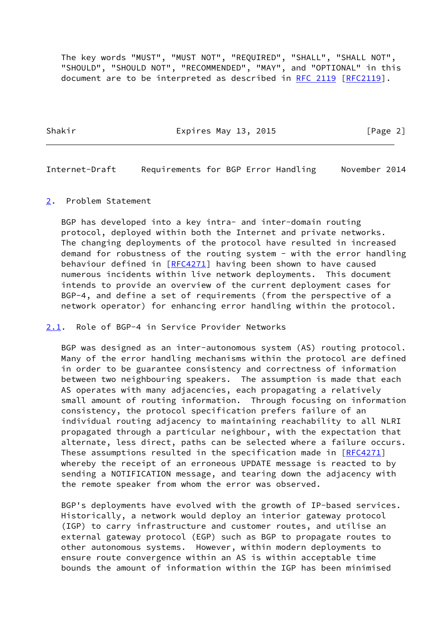The key words "MUST", "MUST NOT", "REQUIRED", "SHALL", "SHALL NOT", "SHOULD", "SHOULD NOT", "RECOMMENDED", "MAY", and "OPTIONAL" in this document are to be interpreted as described in [RFC 2119 \[RFC2119](https://datatracker.ietf.org/doc/pdf/rfc2119)].

Shakir **Expires May 13, 2015** [Page 2]

<span id="page-2-1"></span>Internet-Draft Requirements for BGP Error Handling November 2014

<span id="page-2-0"></span>[2](#page-2-0). Problem Statement

 BGP has developed into a key intra- and inter-domain routing protocol, deployed within both the Internet and private networks. The changing deployments of the protocol have resulted in increased demand for robustness of the routing system - with the error handling behaviour defined in [\[RFC4271](https://datatracker.ietf.org/doc/pdf/rfc4271)] having been shown to have caused numerous incidents within live network deployments. This document intends to provide an overview of the current deployment cases for BGP-4, and define a set of requirements (from the perspective of a network operator) for enhancing error handling within the protocol.

<span id="page-2-2"></span>[2.1](#page-2-2). Role of BGP-4 in Service Provider Networks

 BGP was designed as an inter-autonomous system (AS) routing protocol. Many of the error handling mechanisms within the protocol are defined in order to be guarantee consistency and correctness of information between two neighbouring speakers. The assumption is made that each AS operates with many adjacencies, each propagating a relatively small amount of routing information. Through focusing on information consistency, the protocol specification prefers failure of an individual routing adjacency to maintaining reachability to all NLRI propagated through a particular neighbour, with the expectation that alternate, less direct, paths can be selected where a failure occurs. These assumptions resulted in the specification made in [\[RFC4271](https://datatracker.ietf.org/doc/pdf/rfc4271)] whereby the receipt of an erroneous UPDATE message is reacted to by sending a NOTIFICATION message, and tearing down the adjacency with the remote speaker from whom the error was observed.

 BGP's deployments have evolved with the growth of IP-based services. Historically, a network would deploy an interior gateway protocol (IGP) to carry infrastructure and customer routes, and utilise an external gateway protocol (EGP) such as BGP to propagate routes to other autonomous systems. However, within modern deployments to ensure route convergence within an AS is within acceptable time bounds the amount of information within the IGP has been minimised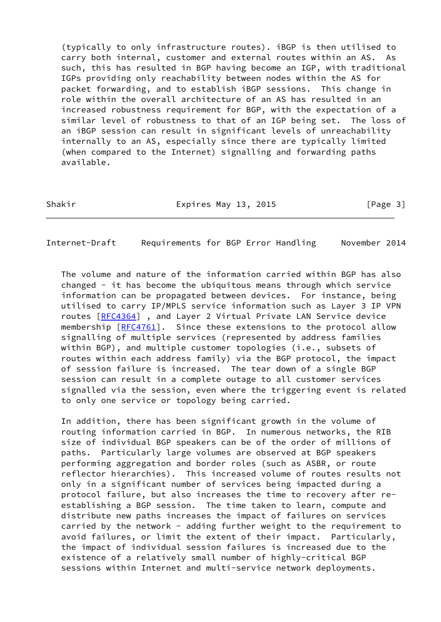(typically to only infrastructure routes). iBGP is then utilised to carry both internal, customer and external routes within an AS. As such, this has resulted in BGP having become an IGP, with traditional IGPs providing only reachability between nodes within the AS for packet forwarding, and to establish iBGP sessions. This change in role within the overall architecture of an AS has resulted in an increased robustness requirement for BGP, with the expectation of a similar level of robustness to that of an IGP being set. The loss of an iBGP session can result in significant levels of unreachability internally to an AS, especially since there are typically limited (when compared to the Internet) signalling and forwarding paths available.

Shakir **Expires May 13, 2015** Expires May 13, 2015

<span id="page-3-0"></span>Internet-Draft Requirements for BGP Error Handling November 2014

 The volume and nature of the information carried within BGP has also changed - it has become the ubiquitous means through which service information can be propagated between devices. For instance, being utilised to carry IP/MPLS service information such as Layer 3 IP VPN routes [\[RFC4364](https://datatracker.ietf.org/doc/pdf/rfc4364)] , and Layer 2 Virtual Private LAN Service device membership [[RFC4761\]](https://datatracker.ietf.org/doc/pdf/rfc4761). Since these extensions to the protocol allow signalling of multiple services (represented by address families within BGP), and multiple customer topologies (i.e., subsets of routes within each address family) via the BGP protocol, the impact of session failure is increased. The tear down of a single BGP session can result in a complete outage to all customer services signalled via the session, even where the triggering event is related to only one service or topology being carried.

 In addition, there has been significant growth in the volume of routing information carried in BGP. In numerous networks, the RIB size of individual BGP speakers can be of the order of millions of paths. Particularly large volumes are observed at BGP speakers performing aggregation and border roles (such as ASBR, or route reflector hierarchies). This increased volume of routes results not only in a significant number of services being impacted during a protocol failure, but also increases the time to recovery after re establishing a BGP session. The time taken to learn, compute and distribute new paths increases the impact of failures on services carried by the network - adding further weight to the requirement to avoid failures, or limit the extent of their impact. Particularly, the impact of individual session failures is increased due to the existence of a relatively small number of highly-critical BGP sessions within Internet and multi-service network deployments.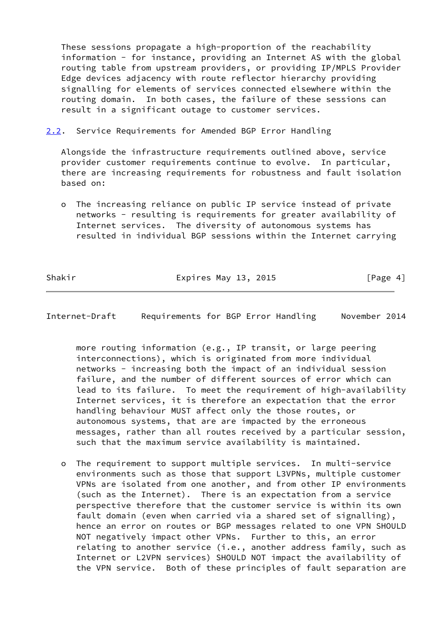These sessions propagate a high-proportion of the reachability information - for instance, providing an Internet AS with the global routing table from upstream providers, or providing IP/MPLS Provider Edge devices adjacency with route reflector hierarchy providing signalling for elements of services connected elsewhere within the routing domain. In both cases, the failure of these sessions can result in a significant outage to customer services.

<span id="page-4-0"></span>[2.2](#page-4-0). Service Requirements for Amended BGP Error Handling

 Alongside the infrastructure requirements outlined above, service provider customer requirements continue to evolve. In particular, there are increasing requirements for robustness and fault isolation based on:

 o The increasing reliance on public IP service instead of private networks - resulting is requirements for greater availability of Internet services. The diversity of autonomous systems has resulted in individual BGP sessions within the Internet carrying

Shakir **Expires May 13, 2015** [Page 4]

Internet-Draft Requirements for BGP Error Handling November 2014

 more routing information (e.g., IP transit, or large peering interconnections), which is originated from more individual networks - increasing both the impact of an individual session failure, and the number of different sources of error which can lead to its failure. To meet the requirement of high-availability Internet services, it is therefore an expectation that the error handling behaviour MUST affect only the those routes, or autonomous systems, that are are impacted by the erroneous messages, rather than all routes received by a particular session, such that the maximum service availability is maintained.

 o The requirement to support multiple services. In multi-service environments such as those that support L3VPNs, multiple customer VPNs are isolated from one another, and from other IP environments (such as the Internet). There is an expectation from a service perspective therefore that the customer service is within its own fault domain (even when carried via a shared set of signalling), hence an error on routes or BGP messages related to one VPN SHOULD NOT negatively impact other VPNs. Further to this, an error relating to another service (i.e., another address family, such as Internet or L2VPN services) SHOULD NOT impact the availability of the VPN service. Both of these principles of fault separation are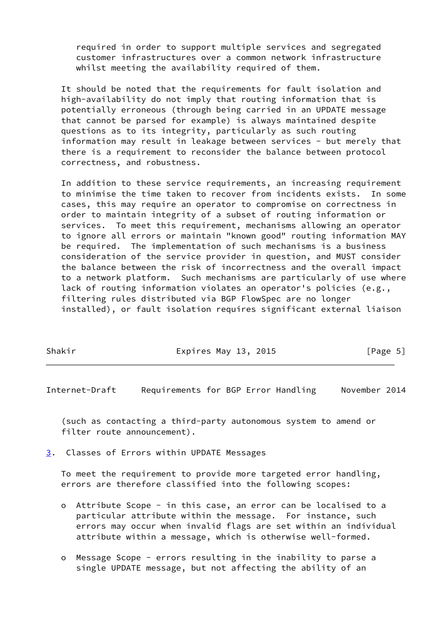required in order to support multiple services and segregated customer infrastructures over a common network infrastructure whilst meeting the availability required of them.

 It should be noted that the requirements for fault isolation and high-availability do not imply that routing information that is potentially erroneous (through being carried in an UPDATE message that cannot be parsed for example) is always maintained despite questions as to its integrity, particularly as such routing information may result in leakage between services - but merely that there is a requirement to reconsider the balance between protocol correctness, and robustness.

 In addition to these service requirements, an increasing requirement to minimise the time taken to recover from incidents exists. In some cases, this may require an operator to compromise on correctness in order to maintain integrity of a subset of routing information or services. To meet this requirement, mechanisms allowing an operator to ignore all errors or maintain "known good" routing information MAY be required. The implementation of such mechanisms is a business consideration of the service provider in question, and MUST consider the balance between the risk of incorrectness and the overall impact to a network platform. Such mechanisms are particularly of use where lack of routing information violates an operator's policies (e.g., filtering rules distributed via BGP FlowSpec are no longer installed), or fault isolation requires significant external liaison

| [Page 5] |
|----------|
|          |

<span id="page-5-1"></span>Internet-Draft Requirements for BGP Error Handling November 2014

 (such as contacting a third-party autonomous system to amend or filter route announcement).

<span id="page-5-0"></span>[3](#page-5-0). Classes of Errors within UPDATE Messages

 To meet the requirement to provide more targeted error handling, errors are therefore classified into the following scopes:

- o Attribute Scope in this case, an error can be localised to a particular attribute within the message. For instance, such errors may occur when invalid flags are set within an individual attribute within a message, which is otherwise well-formed.
- o Message Scope errors resulting in the inability to parse a single UPDATE message, but not affecting the ability of an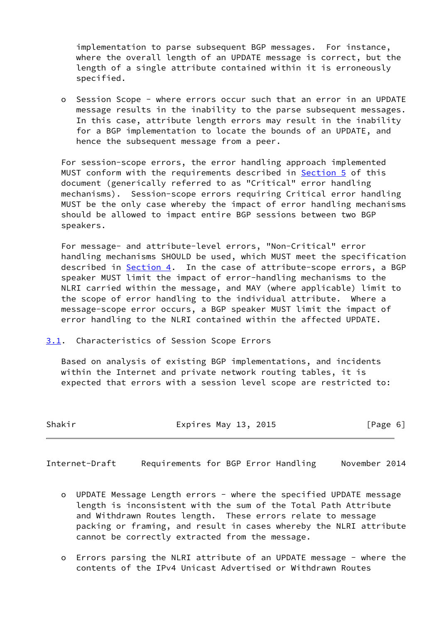implementation to parse subsequent BGP messages. For instance, where the overall length of an UPDATE message is correct, but the length of a single attribute contained within it is erroneously specified.

 o Session Scope - where errors occur such that an error in an UPDATE message results in the inability to the parse subsequent messages. In this case, attribute length errors may result in the inability for a BGP implementation to locate the bounds of an UPDATE, and hence the subsequent message from a peer.

 For session-scope errors, the error handling approach implemented MUST conform with the requirements described in [Section 5](#page-10-1) of this document (generically referred to as "Critical" error handling mechanisms). Session-scope errors requiring Critical error handling MUST be the only case whereby the impact of error handling mechanisms should be allowed to impact entire BGP sessions between two BGP speakers.

 For message- and attribute-level errors, "Non-Critical" error handling mechanisms SHOULD be used, which MUST meet the specification described in [Section 4](#page-8-1). In the case of attribute-scope errors, a BGP speaker MUST limit the impact of error-handling mechanisms to the NLRI carried within the message, and MAY (where applicable) limit to the scope of error handling to the individual attribute. Where a message-scope error occurs, a BGP speaker MUST limit the impact of error handling to the NLRI contained within the affected UPDATE.

<span id="page-6-0"></span>[3.1](#page-6-0). Characteristics of Session Scope Errors

 Based on analysis of existing BGP implementations, and incidents within the Internet and private network routing tables, it is expected that errors with a session level scope are restricted to:

| Shakir | Expires May 13, 2015 | [Page 6] |  |
|--------|----------------------|----------|--|
|        |                      |          |  |

<span id="page-6-1"></span>Internet-Draft Requirements for BGP Error Handling November 2014

- o UPDATE Message Length errors where the specified UPDATE message length is inconsistent with the sum of the Total Path Attribute and Withdrawn Routes length. These errors relate to message packing or framing, and result in cases whereby the NLRI attribute cannot be correctly extracted from the message.
- o Errors parsing the NLRI attribute of an UPDATE message where the contents of the IPv4 Unicast Advertised or Withdrawn Routes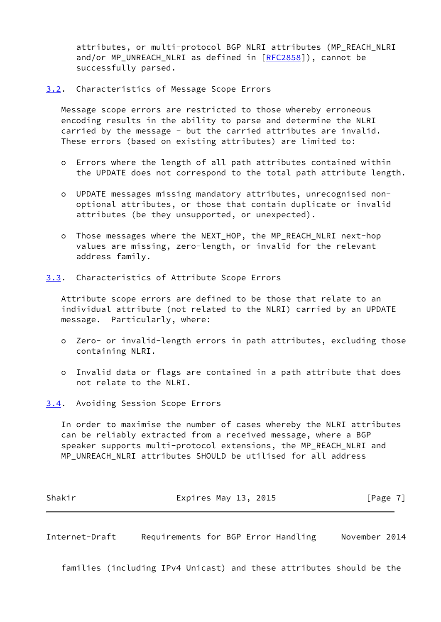attributes, or multi-protocol BGP NLRI attributes (MP\_REACH\_NLRI and/or MP\_UNREACH\_NLRI as defined in [\[RFC2858](https://datatracker.ietf.org/doc/pdf/rfc2858)]), cannot be successfully parsed.

<span id="page-7-0"></span>[3.2](#page-7-0). Characteristics of Message Scope Errors

 Message scope errors are restricted to those whereby erroneous encoding results in the ability to parse and determine the NLRI carried by the message - but the carried attributes are invalid. These errors (based on existing attributes) are limited to:

- o Errors where the length of all path attributes contained within the UPDATE does not correspond to the total path attribute length.
- o UPDATE messages missing mandatory attributes, unrecognised non optional attributes, or those that contain duplicate or invalid attributes (be they unsupported, or unexpected).
- o Those messages where the NEXT\_HOP, the MP\_REACH\_NLRI next-hop values are missing, zero-length, or invalid for the relevant address family.
- <span id="page-7-1"></span>[3.3](#page-7-1). Characteristics of Attribute Scope Errors

 Attribute scope errors are defined to be those that relate to an individual attribute (not related to the NLRI) carried by an UPDATE message. Particularly, where:

- o Zero- or invalid-length errors in path attributes, excluding those containing NLRI.
- o Invalid data or flags are contained in a path attribute that does not relate to the NLRI.
- <span id="page-7-2"></span>[3.4](#page-7-2). Avoiding Session Scope Errors

 In order to maximise the number of cases whereby the NLRI attributes can be reliably extracted from a received message, where a BGP speaker supports multi-protocol extensions, the MP\_REACH\_NLRI and MP\_UNREACH\_NLRI attributes SHOULD be utilised for all address

| Shakir | Expires May 13, 2015 | [Page 7] |
|--------|----------------------|----------|
|        |                      |          |

<span id="page-7-3"></span>Internet-Draft Requirements for BGP Error Handling November 2014

families (including IPv4 Unicast) and these attributes should be the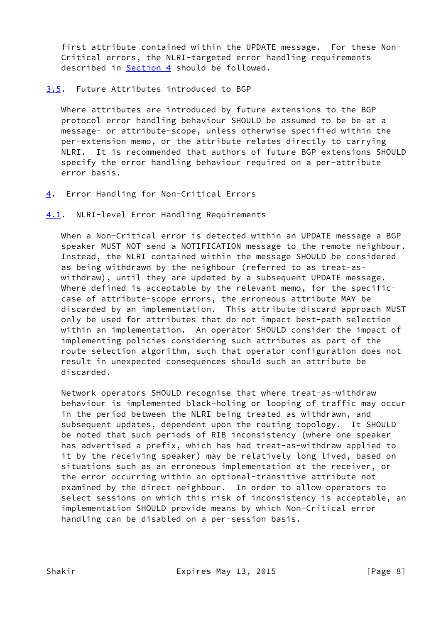first attribute contained within the UPDATE message. For these Non- Critical errors, the NLRI-targeted error handling requirements described in [Section 4](#page-8-1) should be followed.

# <span id="page-8-0"></span>[3.5](#page-8-0). Future Attributes introduced to BGP

 Where attributes are introduced by future extensions to the BGP protocol error handling behaviour SHOULD be assumed to be be at a message- or attribute-scope, unless otherwise specified within the per-extension memo, or the attribute relates directly to carrying NLRI. It is recommended that authors of future BGP extensions SHOULD specify the error handling behaviour required on a per-attribute error basis.

- <span id="page-8-1"></span>[4](#page-8-1). Error Handling for Non-Critical Errors
- <span id="page-8-2"></span>[4.1](#page-8-2). NLRI-level Error Handling Requirements

 When a Non-Critical error is detected within an UPDATE message a BGP speaker MUST NOT send a NOTIFICATION message to the remote neighbour. Instead, the NLRI contained within the message SHOULD be considered as being withdrawn by the neighbour (referred to as treat-as withdraw), until they are updated by a subsequent UPDATE message. Where defined is acceptable by the relevant memo, for the specific case of attribute-scope errors, the erroneous attribute MAY be discarded by an implementation. This attribute-discard approach MUST only be used for attributes that do not impact best-path selection within an implementation. An operator SHOULD consider the impact of implementing policies considering such attributes as part of the route selection algorithm, such that operator configuration does not result in unexpected consequences should such an attribute be discarded.

 Network operators SHOULD recognise that where treat-as-withdraw behaviour is implemented black-holing or looping of traffic may occur in the period between the NLRI being treated as withdrawn, and subsequent updates, dependent upon the routing topology. It SHOULD be noted that such periods of RIB inconsistency (where one speaker has advertised a prefix, which has had treat-as-withdraw applied to it by the receiving speaker) may be relatively long lived, based on situations such as an erroneous implementation at the receiver, or the error occurring within an optional-transitive attribute not examined by the direct neighbour. In order to allow operators to select sessions on which this risk of inconsistency is acceptable, an implementation SHOULD provide means by which Non-Critical error handling can be disabled on a per-session basis.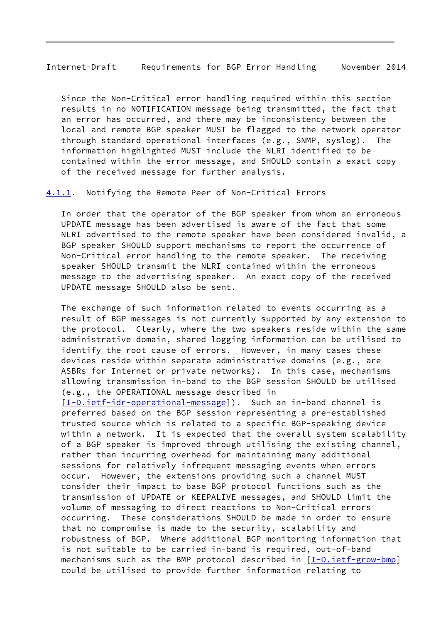<span id="page-9-1"></span>Internet-Draft Requirements for BGP Error Handling November 2014

 Since the Non-Critical error handling required within this section results in no NOTIFICATION message being transmitted, the fact that an error has occurred, and there may be inconsistency between the local and remote BGP speaker MUST be flagged to the network operator through standard operational interfaces (e.g., SNMP, syslog). The information highlighted MUST include the NLRI identified to be contained within the error message, and SHOULD contain a exact copy of the received message for further analysis.

<span id="page-9-0"></span>[4.1.1](#page-9-0). Notifying the Remote Peer of Non-Critical Errors

 In order that the operator of the BGP speaker from whom an erroneous UPDATE message has been advertised is aware of the fact that some NLRI advertised to the remote speaker have been considered invalid, a BGP speaker SHOULD support mechanisms to report the occurrence of Non-Critical error handling to the remote speaker. The receiving speaker SHOULD transmit the NLRI contained within the erroneous message to the advertising speaker. An exact copy of the received UPDATE message SHOULD also be sent.

 The exchange of such information related to events occurring as a result of BGP messages is not currently supported by any extension to the protocol. Clearly, where the two speakers reside within the same administrative domain, shared logging information can be utilised to identify the root cause of errors. However, in many cases these devices reside within separate administrative domains (e.g., are ASBRs for Internet or private networks). In this case, mechanisms allowing transmission in-band to the BGP session SHOULD be utilised (e.g., the OPERATIONAL message described in

[\[I-D.ietf-idr-operational-message](#page-15-0)]). Such an in-band channel is preferred based on the BGP session representing a pre-established trusted source which is related to a specific BGP-speaking device within a network. It is expected that the overall system scalability of a BGP speaker is improved through utilising the existing channel, rather than incurring overhead for maintaining many additional sessions for relatively infrequent messaging events when errors occur. However, the extensions providing such a channel MUST consider their impact to base BGP protocol functions such as the transmission of UPDATE or KEEPALIVE messages, and SHOULD limit the volume of messaging to direct reactions to Non-Critical errors occurring. These considerations SHOULD be made in order to ensure that no compromise is made to the security, scalability and robustness of BGP. Where additional BGP monitoring information that is not suitable to be carried in-band is required, out-of-band mechanisms such as the BMP protocol described in  $[I-D.ietf-grow-bmp]$ could be utilised to provide further information relating to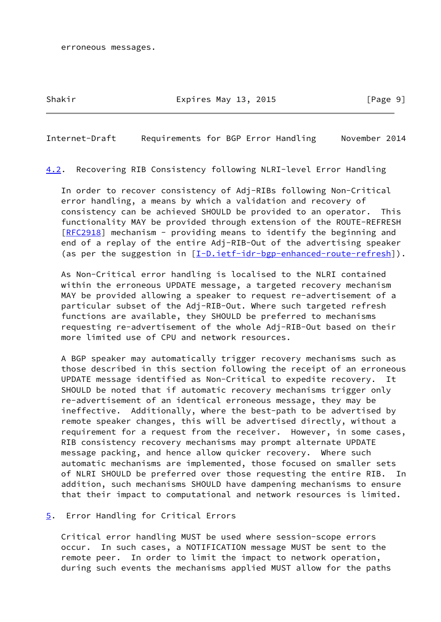# Shakir **Expires May 13, 2015** [Page 9]

<span id="page-10-0"></span>Internet-Draft Requirements for BGP Error Handling November 2014

<span id="page-10-2"></span>[4.2](#page-10-2). Recovering RIB Consistency following NLRI-level Error Handling

 In order to recover consistency of Adj-RIBs following Non-Critical error handling, a means by which a validation and recovery of consistency can be achieved SHOULD be provided to an operator. This functionality MAY be provided through extension of the ROUTE-REFRESH [\[RFC2918](https://datatracker.ietf.org/doc/pdf/rfc2918)] mechanism - providing means to identify the beginning and end of a replay of the entire Adj-RIB-Out of the advertising speaker (as per the suggestion in [[I-D.ietf-idr-bgp-enhanced-route-refresh](#page-14-3)]).

 As Non-Critical error handling is localised to the NLRI contained within the erroneous UPDATE message, a targeted recovery mechanism MAY be provided allowing a speaker to request re-advertisement of a particular subset of the Adj-RIB-Out. Where such targeted refresh functions are available, they SHOULD be preferred to mechanisms requesting re-advertisement of the whole Adj-RIB-Out based on their more limited use of CPU and network resources.

 A BGP speaker may automatically trigger recovery mechanisms such as those described in this section following the receipt of an erroneous UPDATE message identified as Non-Critical to expedite recovery. It SHOULD be noted that if automatic recovery mechanisms trigger only re-advertisement of an identical erroneous message, they may be ineffective. Additionally, where the best-path to be advertised by remote speaker changes, this will be advertised directly, without a requirement for a request from the receiver. However, in some cases, RIB consistency recovery mechanisms may prompt alternate UPDATE message packing, and hence allow quicker recovery. Where such automatic mechanisms are implemented, those focused on smaller sets of NLRI SHOULD be preferred over those requesting the entire RIB. In addition, such mechanisms SHOULD have dampening mechanisms to ensure that their impact to computational and network resources is limited.

<span id="page-10-1"></span>[5](#page-10-1). Error Handling for Critical Errors

 Critical error handling MUST be used where session-scope errors occur. In such cases, a NOTIFICATION message MUST be sent to the remote peer. In order to limit the impact to network operation, during such events the mechanisms applied MUST allow for the paths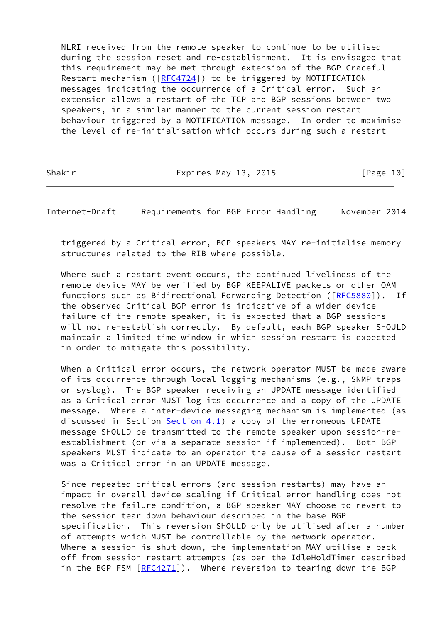NLRI received from the remote speaker to continue to be utilised during the session reset and re-establishment. It is envisaged that this requirement may be met through extension of the BGP Graceful Restart mechanism ([[RFC4724\]](https://datatracker.ietf.org/doc/pdf/rfc4724)) to be triggered by NOTIFICATION messages indicating the occurrence of a Critical error. Such an extension allows a restart of the TCP and BGP sessions between two speakers, in a similar manner to the current session restart behaviour triggered by a NOTIFICATION message. In order to maximise the level of re-initialisation which occurs during such a restart

Shakir **Expires May 13, 2015** [Page 10]

<span id="page-11-0"></span>Internet-Draft Requirements for BGP Error Handling November 2014

 triggered by a Critical error, BGP speakers MAY re-initialise memory structures related to the RIB where possible.

 Where such a restart event occurs, the continued liveliness of the remote device MAY be verified by BGP KEEPALIVE packets or other OAM functions such as Bidirectional Forwarding Detection ([[RFC5880](https://datatracker.ietf.org/doc/pdf/rfc5880)]). If the observed Critical BGP error is indicative of a wider device failure of the remote speaker, it is expected that a BGP sessions will not re-establish correctly. By default, each BGP speaker SHOULD maintain a limited time window in which session restart is expected in order to mitigate this possibility.

 When a Critical error occurs, the network operator MUST be made aware of its occurrence through local logging mechanisms (e.g., SNMP traps or syslog). The BGP speaker receiving an UPDATE message identified as a Critical error MUST log its occurrence and a copy of the UPDATE message. Where a inter-device messaging mechanism is implemented (as discussed in Section  $Section 4.1$ ) a copy of the erroneous UPDATE message SHOULD be transmitted to the remote speaker upon session-re establishment (or via a separate session if implemented). Both BGP speakers MUST indicate to an operator the cause of a session restart was a Critical error in an UPDATE message.

 Since repeated critical errors (and session restarts) may have an impact in overall device scaling if Critical error handling does not resolve the failure condition, a BGP speaker MAY choose to revert to the session tear down behaviour described in the base BGP specification. This reversion SHOULD only be utilised after a number of attempts which MUST be controllable by the network operator. Where a session is shut down, the implementation MAY utilise a back off from session restart attempts (as per the IdleHoldTimer described in the BGP FSM [\[RFC4271](https://datatracker.ietf.org/doc/pdf/rfc4271)]). Where reversion to tearing down the BGP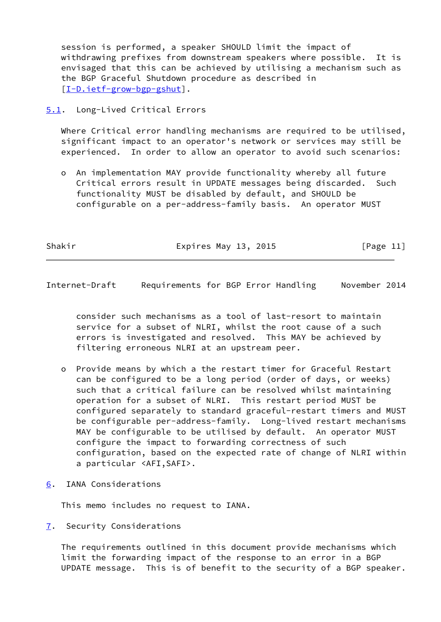session is performed, a speaker SHOULD limit the impact of withdrawing prefixes from downstream speakers where possible. It is envisaged that this can be achieved by utilising a mechanism such as the BGP Graceful Shutdown procedure as described in [\[I-D.ietf-grow-bgp-gshut](#page-14-4)].

<span id="page-12-0"></span>[5.1](#page-12-0). Long-Lived Critical Errors

 Where Critical error handling mechanisms are required to be utilised, significant impact to an operator's network or services may still be experienced. In order to allow an operator to avoid such scenarios:

 o An implementation MAY provide functionality whereby all future Critical errors result in UPDATE messages being discarded. Such functionality MUST be disabled by default, and SHOULD be configurable on a per-address-family basis. An operator MUST

Shakir Expires May 13, 2015 [Page 11]

<span id="page-12-2"></span>Internet-Draft Requirements for BGP Error Handling November 2014

 consider such mechanisms as a tool of last-resort to maintain service for a subset of NLRI, whilst the root cause of a such errors is investigated and resolved. This MAY be achieved by filtering erroneous NLRI at an upstream peer.

- o Provide means by which a the restart timer for Graceful Restart can be configured to be a long period (order of days, or weeks) such that a critical failure can be resolved whilst maintaining operation for a subset of NLRI. This restart period MUST be configured separately to standard graceful-restart timers and MUST be configurable per-address-family. Long-lived restart mechanisms MAY be configurable to be utilised by default. An operator MUST configure the impact to forwarding correctness of such configuration, based on the expected rate of change of NLRI within a particular <AFI,SAFI>.
- <span id="page-12-1"></span>[6](#page-12-1). IANA Considerations

This memo includes no request to IANA.

<span id="page-12-3"></span>[7](#page-12-3). Security Considerations

 The requirements outlined in this document provide mechanisms which limit the forwarding impact of the response to an error in a BGP UPDATE message. This is of benefit to the security of a BGP speaker.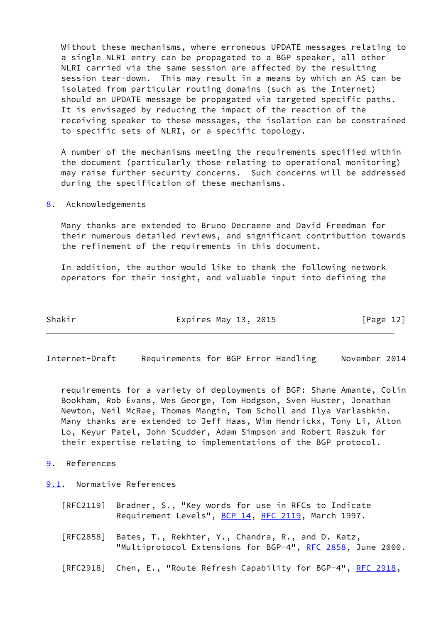Without these mechanisms, where erroneous UPDATE messages relating to a single NLRI entry can be propagated to a BGP speaker, all other NLRI carried via the same session are affected by the resulting session tear-down. This may result in a means by which an AS can be isolated from particular routing domains (such as the Internet) should an UPDATE message be propagated via targeted specific paths. It is envisaged by reducing the impact of the reaction of the receiving speaker to these messages, the isolation can be constrained to specific sets of NLRI, or a specific topology.

 A number of the mechanisms meeting the requirements specified within the document (particularly those relating to operational monitoring) may raise further security concerns. Such concerns will be addressed during the specification of these mechanisms.

<span id="page-13-0"></span>[8](#page-13-0). Acknowledgements

 Many thanks are extended to Bruno Decraene and David Freedman for their numerous detailed reviews, and significant contribution towards the refinement of the requirements in this document.

 In addition, the author would like to thank the following network operators for their insight, and valuable input into defining the

| Shakir | Expires May 13, 2015 | [Page 12] |
|--------|----------------------|-----------|
|        |                      |           |

<span id="page-13-2"></span>Internet-Draft Requirements for BGP Error Handling November 2014

 requirements for a variety of deployments of BGP: Shane Amante, Colin Bookham, Rob Evans, Wes George, Tom Hodgson, Sven Huster, Jonathan Newton, Neil McRae, Thomas Mangin, Tom Scholl and Ilya Varlashkin. Many thanks are extended to Jeff Haas, Wim Hendrickx, Tony Li, Alton Lo, Keyur Patel, John Scudder, Adam Simpson and Robert Raszuk for their expertise relating to implementations of the BGP protocol.

<span id="page-13-1"></span>[9](#page-13-1). References

<span id="page-13-3"></span>[9.1](#page-13-3). Normative References

- [RFC2119] Bradner, S., "Key words for use in RFCs to Indicate Requirement Levels", [BCP 14](https://datatracker.ietf.org/doc/pdf/bcp14), [RFC 2119](https://datatracker.ietf.org/doc/pdf/rfc2119), March 1997.
- [RFC2858] Bates, T., Rekhter, Y., Chandra, R., and D. Katz, "Multiprotocol Extensions for BGP-4", [RFC 2858](https://datatracker.ietf.org/doc/pdf/rfc2858), June 2000.
- [RFC2918] Chen, E., "Route Refresh Capability for BGP-4", [RFC 2918,](https://datatracker.ietf.org/doc/pdf/rfc2918)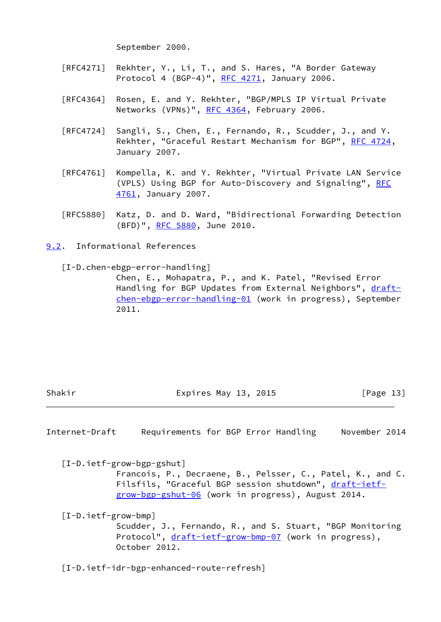September 2000.

- [RFC4271] Rekhter, Y., Li, T., and S. Hares, "A Border Gateway Protocol 4 (BGP-4)", [RFC 4271](https://datatracker.ietf.org/doc/pdf/rfc4271), January 2006.
- [RFC4364] Rosen, E. and Y. Rekhter, "BGP/MPLS IP Virtual Private Networks (VPNs)", [RFC 4364](https://datatracker.ietf.org/doc/pdf/rfc4364), February 2006.
- [RFC4724] Sangli, S., Chen, E., Fernando, R., Scudder, J., and Y. Rekhter, "Graceful Restart Mechanism for BGP", [RFC 4724](https://datatracker.ietf.org/doc/pdf/rfc4724), January 2007.
- [RFC4761] Kompella, K. and Y. Rekhter, "Virtual Private LAN Service (VPLS) Using BGP for Auto-Discovery and Signaling", [RFC](https://datatracker.ietf.org/doc/pdf/rfc4761) [4761,](https://datatracker.ietf.org/doc/pdf/rfc4761) January 2007.
- [RFC5880] Katz, D. and D. Ward, "Bidirectional Forwarding Detection (BFD)", [RFC 5880,](https://datatracker.ietf.org/doc/pdf/rfc5880) June 2010.

<span id="page-14-0"></span>[9.2](#page-14-0). Informational References

[I-D.chen-ebgp-error-handling]

 Chen, E., Mohapatra, P., and K. Patel, "Revised Error Handling for BGP Updates from External Neighbors", [draft](https://datatracker.ietf.org/doc/pdf/draft-chen-ebgp-error-handling-01) [chen-ebgp-error-handling-01](https://datatracker.ietf.org/doc/pdf/draft-chen-ebgp-error-handling-01) (work in progress), September 2011.

Shakir **Expires May 13, 2015** [Page 13]

<span id="page-14-1"></span>Internet-Draft Requirements for BGP Error Handling November 2014

<span id="page-14-4"></span>[I-D.ietf-grow-bgp-gshut]

 Francois, P., Decraene, B., Pelsser, C., Patel, K., and C. Filsfils, "Graceful BGP session shutdown", [draft-ietf](https://datatracker.ietf.org/doc/pdf/draft-ietf-grow-bgp-gshut-06) [grow-bgp-gshut-06](https://datatracker.ietf.org/doc/pdf/draft-ietf-grow-bgp-gshut-06) (work in progress), August 2014.

<span id="page-14-2"></span>[I-D.ietf-grow-bmp]

 Scudder, J., Fernando, R., and S. Stuart, "BGP Monitoring Protocol", [draft-ietf-grow-bmp-07](https://datatracker.ietf.org/doc/pdf/draft-ietf-grow-bmp-07) (work in progress), October 2012.

<span id="page-14-3"></span>[I-D.ietf-idr-bgp-enhanced-route-refresh]